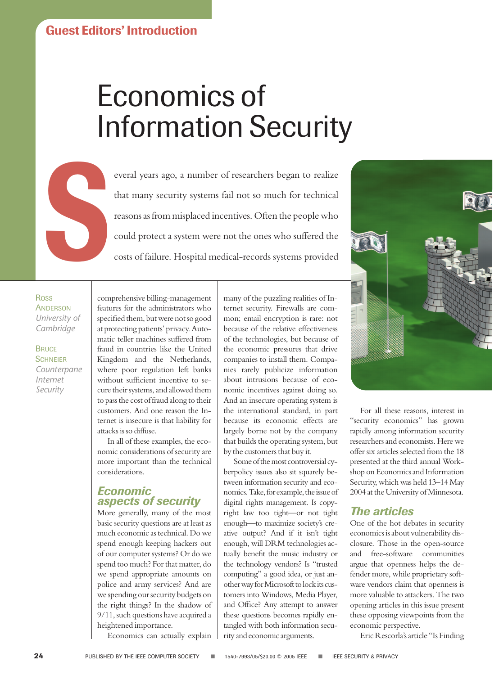## Economics of Information Security

Experience of researchers began to realize that many security systems fail not so much for technical reasons as from misplaced incentives. Often the people who could protect a system were not the ones who suffered the cost that many security systems fail not so much for technical reasons as from misplaced incentives. Often the people who could protect a system were not the ones who suffered the costs of failure. Hospital medical-records systems provided

Ross **ANDERSON** *University of Cambridge* 

**BRUCE SCHNEIER** *Counterpane Internet Security*

comprehensive billing-management features for the administrators who specified them, but were not so good at protecting patients' privacy. Automatic teller machines suffered from fraud in countries like the United Kingdom and the Netherlands, where poor regulation left banks without sufficient incentive to secure their systems, and allowed them to pass the cost of fraud along to their customers. And one reason the Internet is insecure is that liability for attacks is so diffuse.

In all of these examples, the economic considerations of security are more important than the technical considerations.

## *Economic aspects of security*

More generally, many of the most basic security questions are at least as much economic as technical. Do we spend enough keeping hackers out of our computer systems? Or do we spend too much? For that matter, do we spend appropriate amounts on police and army services? And are we spending our security budgets on the right things? In the shadow of 9/11, such questions have acquired a heightened importance.

Economics can actually explain

many of the puzzling realities of Internet security. Firewalls are common; email encryption is rare: not because of the relative effectiveness of the technologies, but because of the economic pressures that drive companies to install them. Companies rarely publicize information about intrusions because of economic incentives against doing so. And an insecure operating system is the international standard, in part because its economic effects are largely borne not by the company that builds the operating system, but by the customers that buy it.

Some of the most controversial cyberpolicy issues also sit squarely between information security and economics. Take, for example, the issue of digital rights management. Is copyright law too tight—or not tight enough—to maximize society's creative output? And if it isn't tight enough, will DRM technologies actually benefit the music industry or the technology vendors? Is "trusted computing" a good idea, or just another way for Microsoft to lock its customers into Windows, Media Player, and Office? Any attempt to answer these questions becomes rapidly entangled with both information security and economic arguments.



For all these reasons, interest in "security economics" has grown rapidly among information security researchers and economists. Here we offer six articles selected from the 18 presented at the third annual Workshop on Economics and Information Security, which was held 13–14 May 2004 at the University of Minnesota.

## *The articles*

One of the hot debates in security economics is about vulnerability disclosure. Those in the open-source and free-software communities argue that openness helps the defender more, while proprietary software vendors claim that openness is more valuable to attackers. The two opening articles in this issue present these opposing viewpoints from the economic perspective.

Eric Rescorla's article "Is Finding